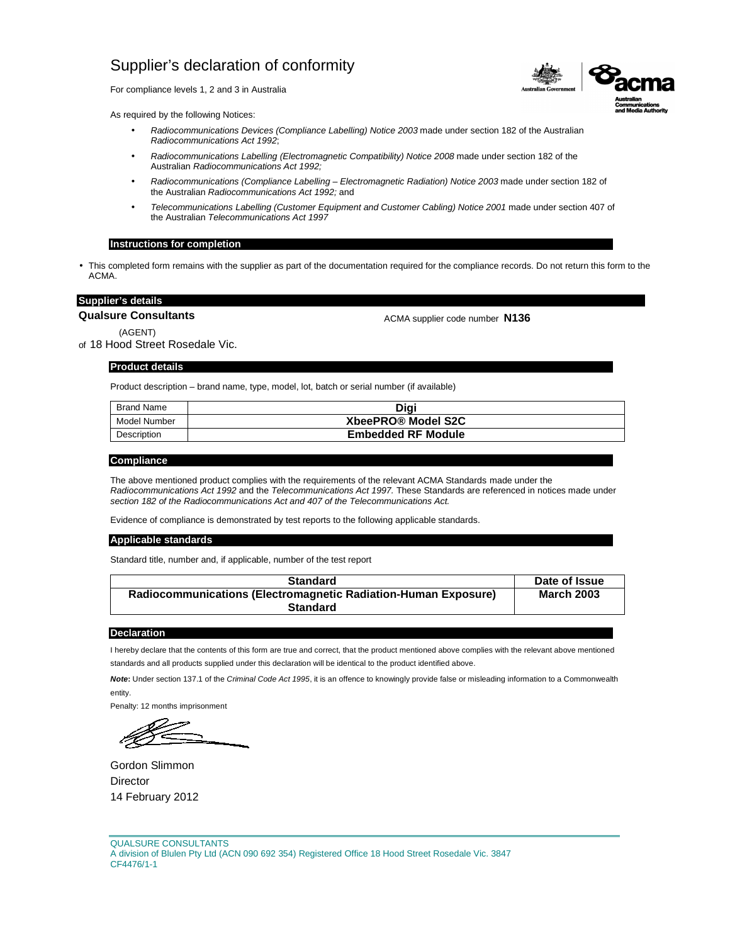For compliance levels 1, 2 and 3 in Australia

As required by the following Notices:

- Radiocommunications Devices (Compliance Labelling) Notice 2003 made under section 182 of the Australian Radiocommunications Act 1992;
- Radiocommunications Labelling (Electromagnetic Compatibility) Notice 2008 made under section 182 of the Australian Radiocommunications Act 1992;
- Radiocommunications (Compliance Labelling Electromagnetic Radiation) Notice 2003 made under section 182 of the Australian Radiocommunications Act 1992; and
- Telecommunications Labelling (Customer Equipment and Customer Cabling) Notice 2001 made under section 407 of the Australian Telecommunications Act 1997

#### **Instructions for completion**

• This completed form remains with the supplier as part of the documentation required for the compliance records. Do not return this form to the ACMA.

## **Supplier's details**

**Qualsure Consultants**

ACMA supplier code number **N136**

(AGENT) of 18 Hood Street Rosedale Vic.

# **Product details**

Product description – brand name, type, model, lot, batch or serial number (if available)

| Brand Name   | Digi                      |
|--------------|---------------------------|
| Model Number | XbeePRO® Model S2C        |
| Description  | <b>Embedded RF Module</b> |

### **Compliance**

The above mentioned product complies with the requirements of the relevant ACMA Standards made under the Radiocommunications Act 1992 and the Telecommunications Act 1997. These Standards are referenced in notices made under section 182 of the Radiocommunications Act and 407 of the Telecommunications Act.

Evidence of compliance is demonstrated by test reports to the following applicable standards.

#### **Applicable standards**

Standard title, number and, if applicable, number of the test report

| <b>Standard</b>                                                | Date of Issue     |
|----------------------------------------------------------------|-------------------|
| Radiocommunications (Electromagnetic Radiation-Human Exposure) | <b>March 2003</b> |
| <b>Standard</b>                                                |                   |

## **Declaration**

I hereby declare that the contents of this form are true and correct, that the product mentioned above complies with the relevant above mentioned standards and all products supplied under this declaration will be identical to the product identified above.

**Note:** Under section 137.1 of the Criminal Code Act 1995, it is an offence to knowingly provide false or misleading information to a Commonwealth entity.

Gordon Slimmon Director 14 February 2012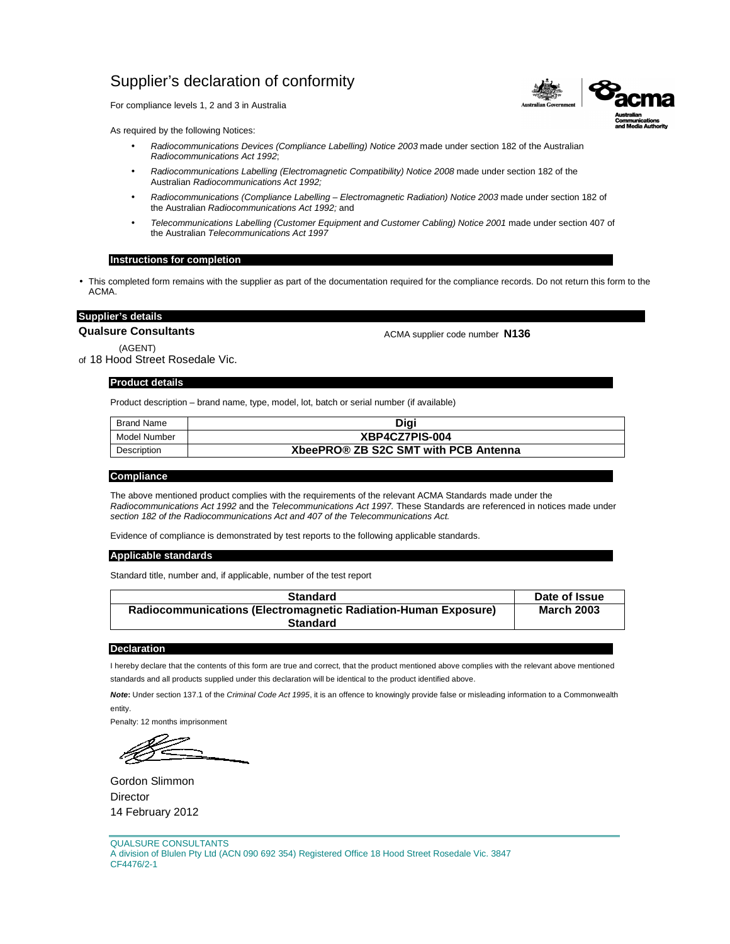For compliance levels 1, 2 and 3 in Australia

As required by the following Notices:

- Radiocommunications Devices (Compliance Labelling) Notice 2003 made under section 182 of the Australian Radiocommunications Act 1992;
- Radiocommunications Labelling (Electromagnetic Compatibility) Notice 2008 made under section 182 of the Australian Radiocommunications Act 1992;
- Radiocommunications (Compliance Labelling Electromagnetic Radiation) Notice 2003 made under section 182 of the Australian Radiocommunications Act 1992; and
- Telecommunications Labelling (Customer Equipment and Customer Cabling) Notice 2001 made under section 407 of the Australian Telecommunications Act 1997

# **Instructions for completion**

• This completed form remains with the supplier as part of the documentation required for the compliance records. Do not return this form to the ACMA.

# **Supplier's details**

**Qualsure Consultants**

ACMA supplier code number **N136**

(AGENT) of 18 Hood Street Rosedale Vic.

## **Product details**

Product description – brand name, type, model, lot, batch or serial number (if available)

| <b>Brand Name</b> | Diai                                 |
|-------------------|--------------------------------------|
| Model Number      | XBP4CZ7PIS-004                       |
| Description       | XbeePRO® ZB S2C SMT with PCB Antenna |

#### **Compliance**

The above mentioned product complies with the requirements of the relevant ACMA Standards made under the Radiocommunications Act 1992 and the Telecommunications Act 1997. These Standards are referenced in notices made under section 182 of the Radiocommunications Act and 407 of the Telecommunications Act.

Evidence of compliance is demonstrated by test reports to the following applicable standards.

### **Applicable standards**

Standard title, number and, if applicable, number of the test report

| <b>Standard</b>                                                | Date of Issue     |
|----------------------------------------------------------------|-------------------|
| Radiocommunications (Electromagnetic Radiation-Human Exposure) | <b>March 2003</b> |
| <b>Standard</b>                                                |                   |

#### **Declaration**

I hereby declare that the contents of this form are true and correct, that the product mentioned above complies with the relevant above mentioned standards and all products supplied under this declaration will be identical to the product identified above.

**Note:** Under section 137.1 of the Criminal Code Act 1995, it is an offence to knowingly provide false or misleading information to a Commonwealth entity.

Gordon Slimmon **Director** 14 February 2012

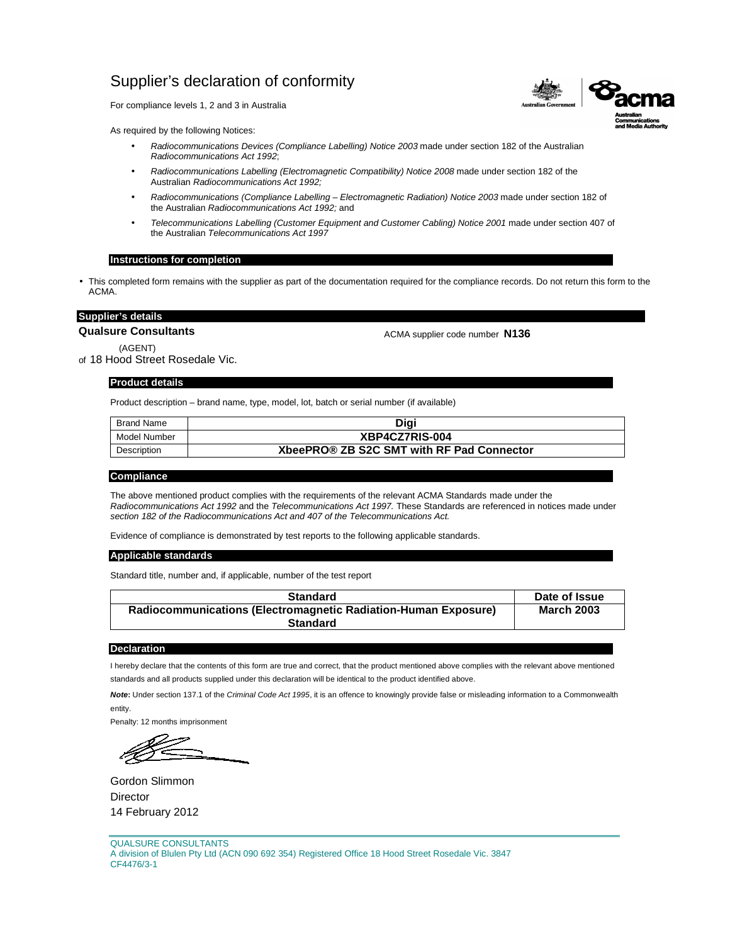For compliance levels 1, 2 and 3 in Australia

As required by the following Notices:

- Radiocommunications Devices (Compliance Labelling) Notice 2003 made under section 182 of the Australian Radiocommunications Act 1992;
- Radiocommunications Labelling (Electromagnetic Compatibility) Notice 2008 made under section 182 of the Australian Radiocommunications Act 1992;
- Radiocommunications (Compliance Labelling Electromagnetic Radiation) Notice 2003 made under section 182 of the Australian Radiocommunications Act 1992; and
- Telecommunications Labelling (Customer Equipment and Customer Cabling) Notice 2001 made under section 407 of the Australian Telecommunications Act 1997

# **Instructions for completion**

• This completed form remains with the supplier as part of the documentation required for the compliance records. Do not return this form to the ACMA.

# **Supplier's details**

**Qualsure Consultants**

ACMA supplier code number **N136**

(AGENT) of 18 Hood Street Rosedale Vic.

## **Product details**

Product description – brand name, type, model, lot, batch or serial number (if available)

| Brand Name   | Digi                                      |
|--------------|-------------------------------------------|
| Model Number | XBP4CZ7RIS-004                            |
| Description  | XbeePRO® ZB S2C SMT with RF Pad Connector |

#### **Compliance**

The above mentioned product complies with the requirements of the relevant ACMA Standards made under the Radiocommunications Act 1992 and the Telecommunications Act 1997. These Standards are referenced in notices made under section 182 of the Radiocommunications Act and 407 of the Telecommunications Act.

Evidence of compliance is demonstrated by test reports to the following applicable standards.

### **Applicable standards**

Standard title, number and, if applicable, number of the test report

| <b>Standard</b>                                                | Date of Issue     |
|----------------------------------------------------------------|-------------------|
| Radiocommunications (Electromagnetic Radiation-Human Exposure) | <b>March 2003</b> |
| <b>Standard</b>                                                |                   |

#### **Declaration**

I hereby declare that the contents of this form are true and correct, that the product mentioned above complies with the relevant above mentioned standards and all products supplied under this declaration will be identical to the product identified above.

**Note:** Under section 137.1 of the Criminal Code Act 1995, it is an offence to knowingly provide false or misleading information to a Commonwealth entity.

Gordon Slimmon **Director** 14 February 2012

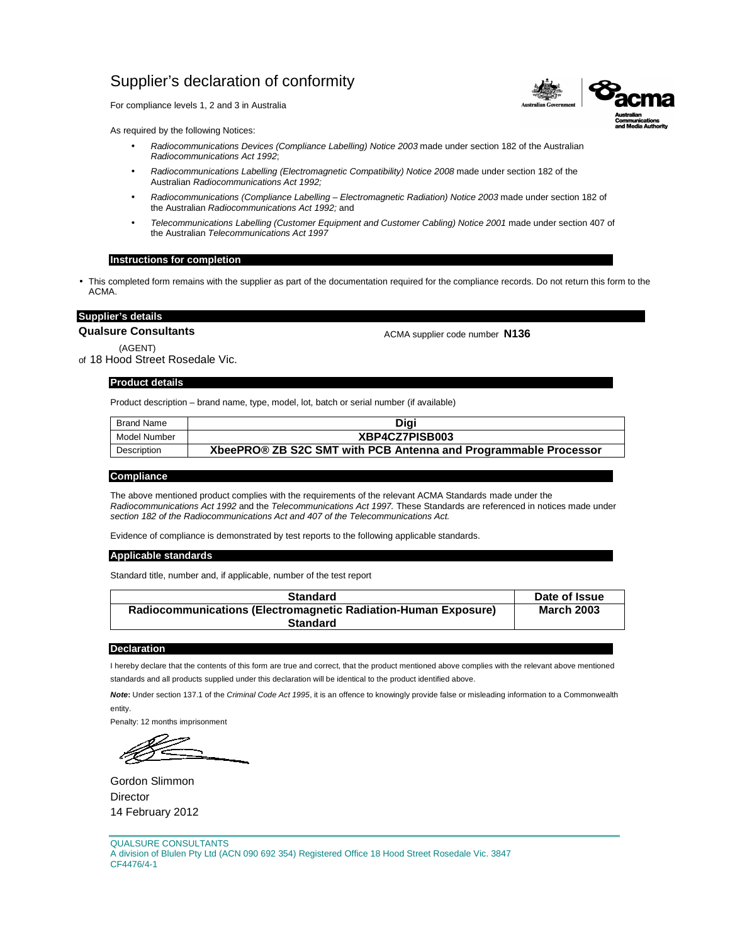For compliance levels 1, 2 and 3 in Australia

As required by the following Notices:

- Radiocommunications Devices (Compliance Labelling) Notice 2003 made under section 182 of the Australian Radiocommunications Act 1992;
- Radiocommunications Labelling (Electromagnetic Compatibility) Notice 2008 made under section 182 of the Australian Radiocommunications Act 1992;
- Radiocommunications (Compliance Labelling Electromagnetic Radiation) Notice 2003 made under section 182 of the Australian Radiocommunications Act 1992; and
- Telecommunications Labelling (Customer Equipment and Customer Cabling) Notice 2001 made under section 407 of the Australian Telecommunications Act 1997

# **Instructions for completion**

• This completed form remains with the supplier as part of the documentation required for the compliance records. Do not return this form to the ACMA.

# **Supplier's details**

**Qualsure Consultants**

ACMA supplier code number **N136**

(AGENT) of 18 Hood Street Rosedale Vic.

## **Product details**

Product description – brand name, type, model, lot, batch or serial number (if available)

| Brand Name   | Digi                                                            |
|--------------|-----------------------------------------------------------------|
| Model Number | XBP4CZ7PISB003                                                  |
| Description  | XbeePRO® ZB S2C SMT with PCB Antenna and Programmable Processor |

#### **Compliance**

The above mentioned product complies with the requirements of the relevant ACMA Standards made under the Radiocommunications Act 1992 and the Telecommunications Act 1997. These Standards are referenced in notices made under section 182 of the Radiocommunications Act and 407 of the Telecommunications Act.

Evidence of compliance is demonstrated by test reports to the following applicable standards.

### **Applicable standards**

Standard title, number and, if applicable, number of the test report

| <b>Standard</b>                                                | Date of Issue     |
|----------------------------------------------------------------|-------------------|
| Radiocommunications (Electromagnetic Radiation-Human Exposure) | <b>March 2003</b> |
| <b>Standard</b>                                                |                   |

#### **Declaration**

I hereby declare that the contents of this form are true and correct, that the product mentioned above complies with the relevant above mentioned standards and all products supplied under this declaration will be identical to the product identified above.

**Note:** Under section 137.1 of the Criminal Code Act 1995, it is an offence to knowingly provide false or misleading information to a Commonwealth entity.

Gordon Slimmon **Director** 14 February 2012